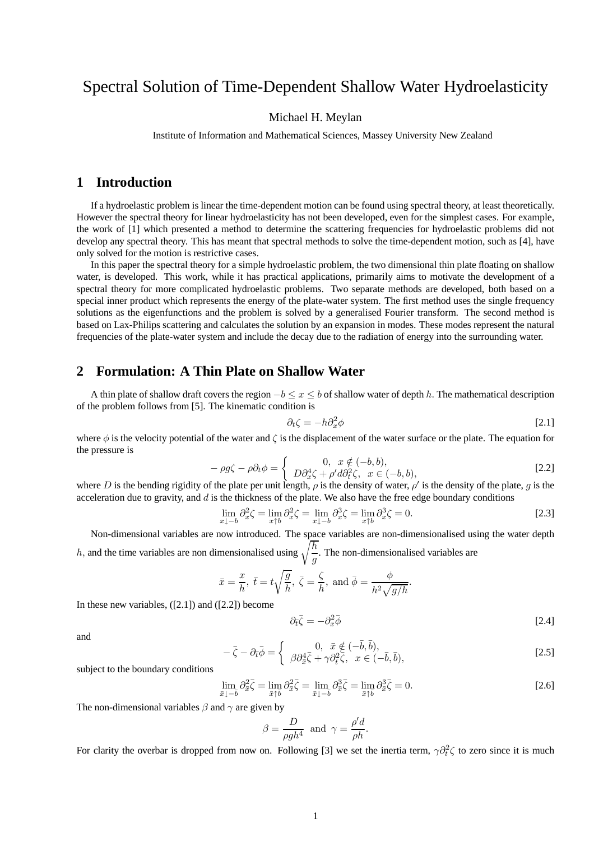# Spectral Solution of Time-Dependent Shallow Water Hydroelasticity

#### Michael H. Meylan

Institute of Information and Mathematical Sciences, Massey University New Zealand

## **1 Introduction**

If a hydroelastic problem is linear the time-dependent motion can be found using spectral theory, at least theoretically. However the spectral theory for linear hydroelasticity has not been developed, even for the simplest cases. For example, the work of [1] which presented a method to determine the scattering frequencies for hydroelastic problems did not develop any spectral theory. This has meant that spectral methods to solve the time-dependent motion, such as [4], have only solved for the motion is restrictive cases.

In this paper the spectral theory for a simple hydroelastic problem, the two dimensional thin plate floating on shallow water, is developed. This work, while it has practical applications, primarily aims to motivate the development of a spectral theory for more complicated hydroelastic problems. Two separate methods are developed, both based on a special inner product which represents the energy of the plate-water system. The first method uses the single frequency solutions as the eigenfunctions and the problem is solved by a generalised Fourier transform. The second method is based on Lax-Philips scattering and calculates the solution by an expansion in modes. These modes represent the natural frequencies of the plate-water system and include the decay due to the radiation of energy into the surrounding water.

## **2 Formulation: A Thin Plate on Shallow Water**

A thin plate of shallow draft covers the region  $-b \le x \le b$  of shallow water of depth h. The mathematical description of the problem follows from [5]. The kinematic condition is

$$
\partial_t \zeta = -h \partial_x^2 \phi \tag{2.1}
$$

where  $\phi$  is the velocity potential of the water and  $\zeta$  is the displacement of the water surface or the plate. The equation for the pressure is

$$
-\rho g \zeta - \rho \partial_t \phi = \begin{cases} 0, & x \notin (-b, b), \\ D \partial_x^4 \zeta + \rho' d \partial_t^2 \zeta, & x \in (-b, b), \end{cases}
$$
 [2.2]

where D is the bending rigidity of the plate per unit length,  $\rho$  is the density of water,  $\rho'$  is the density of the plate, g is the acceleration due to gravity, and  $d$  is the thickness of the plate. We also have the free edge boundary conditions

$$
\lim_{x \downarrow -b} \partial_x^2 \zeta = \lim_{x \uparrow b} \partial_x^2 \zeta = \lim_{x \downarrow -b} \partial_x^3 \zeta = \lim_{x \uparrow b} \partial_x^3 \zeta = 0. \tag{2.3}
$$

Non-dimensional variables are now introduced. The space variables are non-dimensionalised using the water depth h, and the time variables are non dimensionalised using  $\sqrt{\frac{h}{n}}$ . The non-dimensionalised variables are

and the time variables are non-dimensionalised using 
$$
\sqrt{\frac{a}{g}}
$$
. The non-dimensionalised variables a

$$
\bar{x} = \frac{x}{h}, \ \bar{t} = t\sqrt{\frac{g}{h}}, \ \bar{\zeta} = \frac{\zeta}{h}, \text{ and } \bar{\phi} = \frac{\phi}{h^2\sqrt{g/h}}.
$$

In these new variables,  $([2.1])$  and  $([2.2])$  become

$$
\partial_{\bar{t}}\bar{\zeta} = -\partial_{\bar{x}}^2 \bar{\phi} \tag{2.4}
$$

and

$$
-\bar{\zeta} - \partial_{\bar{t}}\bar{\phi} = \begin{cases} 0, & \bar{x} \notin (-\bar{b}, \bar{b}), \\ \beta \partial_{\bar{x}}^4 \bar{\zeta} + \gamma \partial_{\bar{t}}^2 \bar{\zeta}, & x \in (-\bar{b}, \bar{b}), \end{cases}
$$
 [2.5]

subject to the boundary conditions

$$
\lim_{\bar{x}\downarrow-\bar{b}}\partial_{\bar{x}}^2\bar{\zeta} = \lim_{\bar{x}\uparrow\bar{b}}\partial_{\bar{x}}^2\bar{\zeta} = \lim_{\bar{x}\downarrow-\bar{b}}\partial_{\bar{x}}^3\bar{\zeta} = \lim_{\bar{x}\uparrow\bar{b}}\partial_{\bar{x}}^3\bar{\zeta} = 0.
$$
\n
$$
[2.6]
$$

The non-dimensional variables  $\beta$  and  $\gamma$  are given by

$$
\beta = \frac{D}{\rho g h^4} \text{ and } \gamma = \frac{\rho' d}{\rho h}.
$$

For clarity the overbar is dropped from now on. Following [3] we set the inertia term,  $\gamma \partial_t^2 \zeta$  to zero since it is much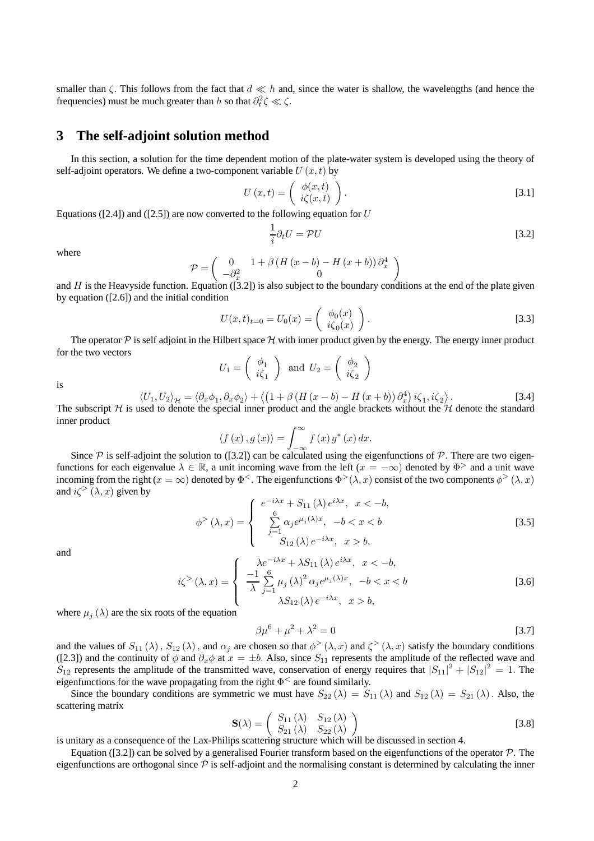smaller than  $\zeta$ . This follows from the fact that  $d \ll h$  and, since the water is shallow, the wavelengths (and hence the frequencies) must be much greater than h so that  $\partial_t^2 \zeta \ll \zeta$ .

### **3 The self-adjoint solution method**

In this section, a solution for the time dependent motion of the plate-water system is developed using the theory of self-adjoint operators. We define a two-component variable  $U(x, t)$  by

$$
U(x,t) = \begin{pmatrix} \phi(x,t) \\ i\zeta(x,t) \end{pmatrix}.
$$
 [3.1]

Equations ([2.4]) and ([2.5]) are now converted to the following equation for  $U$ 

$$
\frac{1}{i}\partial_t U = \mathcal{P}U\tag{3.2}
$$

where

$$
\mathcal{P} = \begin{pmatrix} 0 & 1 + \beta \left( H \left( x - b \right) - H \left( x + b \right) \right) \partial_x^4 \\ -\partial_x^2 & 0 \end{pmatrix}
$$

and H is the Heavyside function. Equation ([3.2]) is also subject to the boundary conditions at the end of the plate given by equation ([2.6]) and the initial condition

$$
U(x,t)_{t=0} = U_0(x) = \begin{pmatrix} \phi_0(x) \\ i\zeta_0(x) \end{pmatrix}.
$$
 [3.3]

The operator  $P$  is self adjoint in the Hilbert space  $H$  with inner product given by the energy. The energy inner product for the two vectors

$$
U_1 = \begin{pmatrix} \phi_1 \\ i\zeta_1 \end{pmatrix} \text{ and } U_2 = \begin{pmatrix} \phi_2 \\ i\zeta_2 \end{pmatrix}
$$

is

$$
\langle U_1, U_2 \rangle_{\mathcal{H}} = \langle \partial_x \phi_1, \partial_x \phi_2 \rangle + \langle (1 + \beta (H (x - b) - H (x + b))) \partial_x^4 \rangle i \zeta_1, i \zeta_2 \rangle.
$$
 [3.4]  
*H* is used to denote the special inner product and the angle brackets without the *H* denote the standard

The subscript  $H$  is used to denote the special inner product and the angle brackets without the  $H$  denote the standard inner product

$$
\langle f(x), g(x) \rangle = \int_{-\infty}^{\infty} f(x) g^*(x) dx.
$$

Since P is self-adjoint the solution to ([3.2]) can be calculated using the eigenfunctions of P. There are two eigenfunctions for each eigenvalue  $\lambda \in \mathbb{R}$ , a unit incoming wave from the left  $(x = -\infty)$  denoted by  $\Phi$ <sup>></sup> and a unit wave incoming from the right ( $x = \infty$ ) denoted by  $\Phi^<$ . The eigenfunctions  $\Phi^>(\lambda, x)$  consist of the two components  $\phi^>(\lambda, x)$ and  $i\zeta^>(\lambda, x)$  given by

$$
\phi^{>}(\lambda, x) = \begin{cases} e^{-i\lambda x} + S_{11}(\lambda) e^{i\lambda x}, & x < -b, \\ \sum_{j=1}^{6} \alpha_{j} e^{\mu_{j}(\lambda)x}, & -b < x < b \\ S_{12}(\lambda) e^{-i\lambda x}, & x > b, \end{cases}
$$
 [3.5]

and

$$
i\zeta^{>}(\lambda, x) = \begin{cases} \n\frac{\lambda e^{-i\lambda x} + \lambda S_{11}(\lambda) e^{i\lambda x}}{\lambda} & x < -b, \\
\frac{-1}{\lambda} \sum_{j=1}^{6} \mu_j(\lambda)^2 \alpha_j e^{\mu_j(\lambda)x}, \quad -b < x < b \\
\lambda S_{12}(\lambda) e^{-i\lambda x}, \quad x > b,\n\end{cases} \tag{3.6}
$$

where  $\mu_i(\lambda)$  are the six roots of the equation

$$
\beta \mu^6 + \mu^2 + \lambda^2 = 0 \tag{3.7}
$$

and the values of  $S_{11}(\lambda)$ ,  $S_{12}(\lambda)$ , and  $\alpha_j$  are chosen so that  $\phi^>(\lambda, x)$  and  $\zeta^>(\lambda, x)$  satisfy the boundary conditions ([2.3]) and the continuity of  $\phi$  and  $\partial_x \phi$  at  $x = \pm b$ . Also, since  $S_{11}$  represents the amplitude of the reflected wave and  $S_{12}$  represents the amplitude of the transmitted wave, conservation of energy requires that  $|S_{11}|^2 + |S_{12}|^2 = 1$ . The eigenfunctions for the wave propagating from the right  $\Phi^{\lt}$  are found similarly.

Since the boundary conditions are symmetric we must have  $S_{22}(\lambda) = S_{11}(\lambda)$  and  $S_{12}(\lambda) = S_{21}(\lambda)$ . Also, the scattering matrix

$$
\mathbf{S}(\lambda) = \begin{pmatrix} S_{11}(\lambda) & S_{12}(\lambda) \\ S_{21}(\lambda) & S_{22}(\lambda) \end{pmatrix} \tag{3.8}
$$

is unitary as a consequence of the Lax-Philips scattering structure which will be discussed in section 4.

Equation ([3.2]) can be solved by a generalised Fourier transform based on the eigenfunctions of the operator  $P$ . The eigenfunctions are orthogonal since  $\mathcal P$  is self-adjoint and the normalising constant is determined by calculating the inner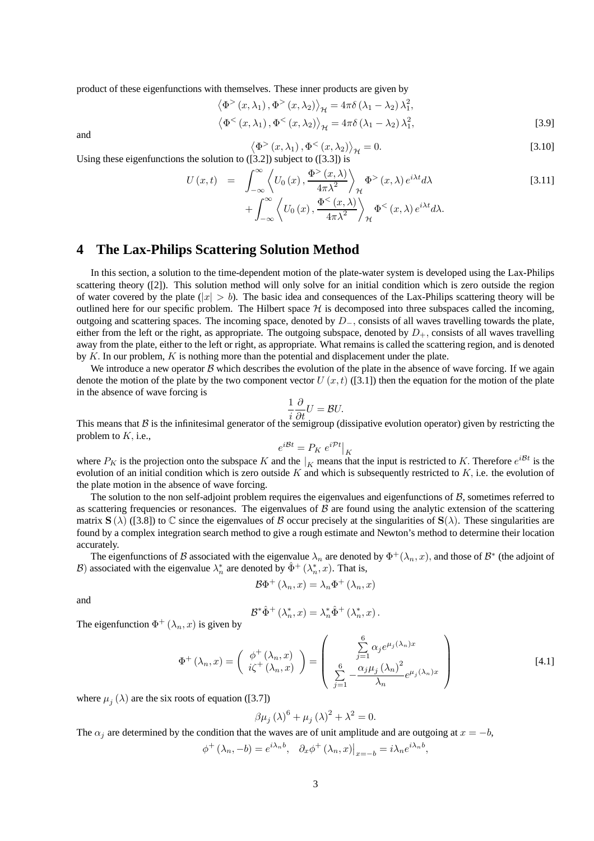product of these eigenfunctions with themselves. These inner products are given by

$$
\langle \Phi^{>} (x, \lambda_1), \Phi^{>} (x, \lambda_2) \rangle_{\mathcal{H}} = 4\pi \delta (\lambda_1 - \lambda_2) \lambda_1^2,
$$
  

$$
\langle \Phi^{<} (x, \lambda_1), \Phi^{<} (x, \lambda_2) \rangle_{\mathcal{H}} = 4\pi \delta (\lambda_1 - \lambda_2) \lambda_1^2,
$$
 [3.9]

and

$$
\langle \Phi^{>} (x, \lambda_1), \Phi^{<} (x, \lambda_2) \rangle_{\mathcal{H}} = 0.
$$
 [3.10]

Using these eigenfunctions the solution to ([3.2]) subject to ([3.3]) is

$$
U(x,t) = \int_{-\infty}^{\infty} \left\langle U_0(x), \frac{\Phi^{\geq}(x,\lambda)}{4\pi\lambda^2} \right\rangle_{\mathcal{H}} \Phi^{\geq}(x,\lambda) e^{i\lambda t} d\lambda
$$
 [3.11]  
+ 
$$
\int_{-\infty}^{\infty} \left\langle U_0(x), \frac{\Phi^{\leq}(x,\lambda)}{4\pi\lambda^2} \right\rangle_{\mathcal{H}} \Phi^{\leq}(x,\lambda) e^{i\lambda t} d\lambda.
$$

## **4 The Lax-Philips Scattering Solution Method**

In this section, a solution to the time-dependent motion of the plate-water system is developed using the Lax-Philips scattering theory ([2]). This solution method will only solve for an initial condition which is zero outside the region of water covered by the plate  $(|x| > b)$ . The basic idea and consequences of the Lax-Philips scattering theory will be outlined here for our specific problem. The Hilbert space  $H$  is decomposed into three subspaces called the incoming, outgoing and scattering spaces. The incoming space, denoted by  $D_-\,$ , consists of all waves travelling towards the plate, either from the left or the right, as appropriate. The outgoing subspace, denoted by  $D_{+}$ , consists of all waves travelling away from the plate, either to the left or right, as appropriate. What remains is called the scattering region, and is denoted by  $K$ . In our problem,  $K$  is nothing more than the potential and displacement under the plate.

We introduce a new operator B which describes the evolution of the plate in the absence of wave forcing. If we again denote the motion of the plate by the two component vector  $U(x, t)$  ([3.1]) then the equation for the motion of the plate in the absence of wave forcing is

$$
\frac{1}{i}\frac{\partial}{\partial t}U = \mathcal{B}U.
$$

This means that B is the infinitesimal generator of the semigroup (dissipative evolution operator) given by restricting the problem to  $K$ , i.e.,

$$
e^{i\mathcal{B}t} = P_K \left.e^{i\mathcal{P}t}\right|_K
$$

where  $P_K$  is the projection onto the subspace K and the  $|_K$  means that the input is restricted to K. Therefore  $e^{i\mathcal{B}t}$  is the evolution of an initial condition which is zero outside K and which is subsequently restricted to  $K$ , i.e. the evolution of the plate motion in the absence of wave forcing.

The solution to the non self-adjoint problem requires the eigenvalues and eigenfunctions of B, sometimes referred to as scattering frequencies or resonances. The eigenvalues of  $\beta$  are found using the analytic extension of the scattering matrix  $\mathbf{S}(\lambda)$  ([3.8]) to  $\mathbb C$  since the eigenvalues of B occur precisely at the singularities of  $\mathbf{S}(\lambda)$ . These singularities are found by a complex integration search method to give a rough estimate and Newton's method to determine their location accurately.

The eigenfunctions of B associated with the eigenvalue  $\lambda_n$  are denoted by  $\Phi^+(\lambda_n, x)$ , and those of B<sup>∗</sup> (the adjoint of B) associated with the eigenvalue  $\lambda_n^*$  are denoted by  $\hat{\Phi}^+ (\lambda_n^*, x)$ . That is,

$$
\mathcal{B}\Phi^+\left(\lambda_n,x\right)=\lambda_n\Phi^+\left(\lambda_n,x\right)
$$

and

$$
\mathcal{B}^*\hat{\Phi}^+\left(\lambda_n^*,x\right)=\lambda_n^*\hat{\Phi}^+\left(\lambda_n^*,x\right).
$$

The eigenfunction  $\Phi^+ (\lambda_n, x)$  is given by

$$
\Phi^{+}(\lambda_{n},x) = \begin{pmatrix} \phi^{+}(\lambda_{n},x) \\ i\zeta^{+}(\lambda_{n},x) \end{pmatrix} = \begin{pmatrix} \sum_{j=1}^{6} \alpha_{j}e^{\mu_{j}(\lambda_{n})x} \\ \sum_{j=1}^{6} -\frac{\alpha_{j}\mu_{j}(\lambda_{n})^{2}}{\lambda_{n}}e^{\mu_{j}(\lambda_{n})x} \end{pmatrix}
$$
[4.1]

where  $\mu_i(\lambda)$  are the six roots of equation ([3.7])

$$
\beta \mu_j (\lambda)^6 + \mu_j (\lambda)^2 + \lambda^2 = 0.
$$

The  $\alpha_i$  are determined by the condition that the waves are of unit amplitude and are outgoing at  $x = -b$ ,

$$
\phi^+(\lambda_n, -b) = e^{i\lambda_n b}, \quad \partial_x \phi^+(\lambda_n, x)|_{x=-b} = i\lambda_n e^{i\lambda_n b},
$$